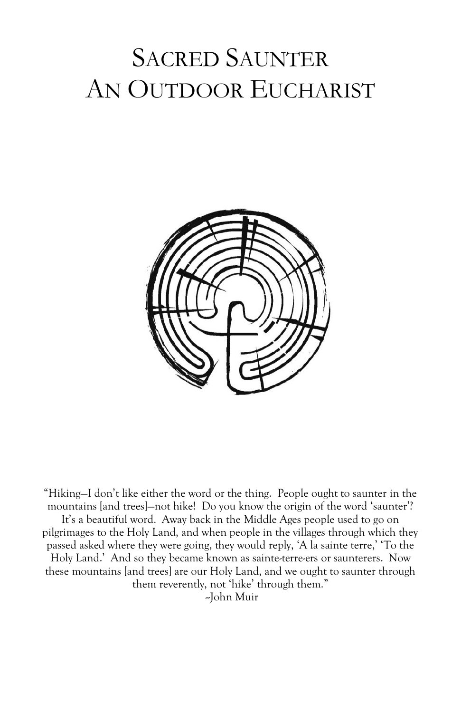# SACRED SAUNTER AN OUTDOOR EUCHARIST



"Hiking—I don't like either the word or the thing. People ought to saunter in the mountains [and trees]—not hike! Do you know the origin of the word 'saunter'? It's a beautiful word. Away back in the Middle Ages people used to go on pilgrimages to the Holy Land, and when people in the villages through which they passed asked where they were going, they would reply, 'A la sainte terre,' 'To the Holy Land.' And so they became known as sainte-terre-ers or saunterers. Now these mountains [and trees] are our Holy Land, and we ought to saunter through them reverently, not 'hike' through them." --John Muir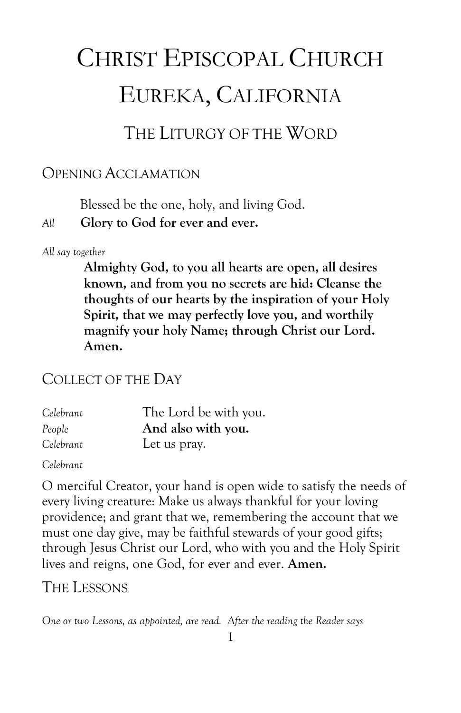# CHRIST EPISCOPAL CHURCH EUREKA, CALIFORNIA

# THE LITURGY OF THE WORD

#### OPENING ACCLAMATION

Blessed be the one, holy, and living God.

#### *All* **Glory to God for ever and ever.**

#### *All say together*

**Almighty God, to you all hearts are open, all desires known, and from you no secrets are hid: Cleanse the thoughts of our hearts by the inspiration of your Holy Spirit, that we may perfectly love you, and worthily magnify your holy Name; through Christ our Lord. Amen.**

#### COLLECT OF THE DAY

| Celebrant | The Lord be with you. |
|-----------|-----------------------|
| People    | And also with you.    |
| Celebrant | Let us pray.          |

*Celebrant*

O merciful Creator, your hand is open wide to satisfy the needs of every living creature: Make us always thankful for your loving providence; and grant that we, remembering the account that we must one day give, may be faithful stewards of your good gifts; through Jesus Christ our Lord, who with you and the Holy Spirit lives and reigns, one God, for ever and ever. **Amen.**

### THE LESSONS

*One or two Lessons, as appointed, are read. After the reading the Reader says*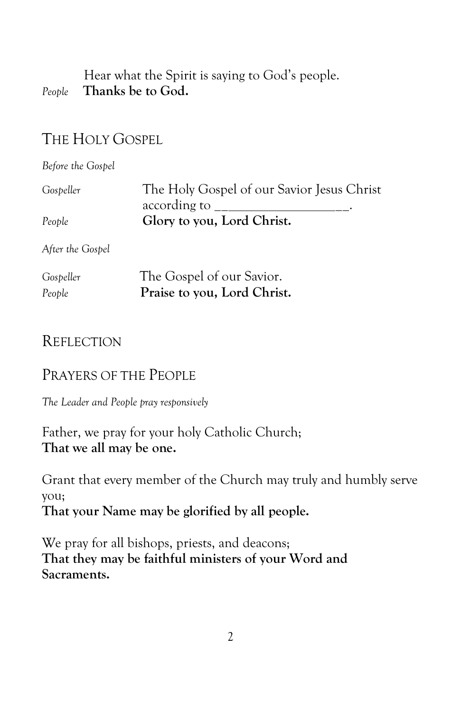Hear what the Spirit is saying to God's people. *People* **Thanks be to God.**

# THE HOLY GOSPEL

*Before the Gospel*

| Gospeller        | The Holy Gospel of our Savior Jesus Christ<br>according to $\frac{\ }{2}$ |
|------------------|---------------------------------------------------------------------------|
| People           | Glory to you, Lord Christ.                                                |
| After the Gospel |                                                                           |
| Gospeller        | The Gospel of our Savior.                                                 |

| <i>Ouspeire</i> | The Obspect of our bavior.  |
|-----------------|-----------------------------|
| People          | Praise to you, Lord Christ. |

#### **REFLECTION**

#### PRAYERS OF THE PEOPLE

*The Leader and People pray responsively*

Father, we pray for your holy Catholic Church; **That we all may be one.**

Grant that every member of the Church may truly and humbly serve you;

**That your Name may be glorified by all people.**

We pray for all bishops, priests, and deacons; **That they may be faithful ministers of your Word and Sacraments.**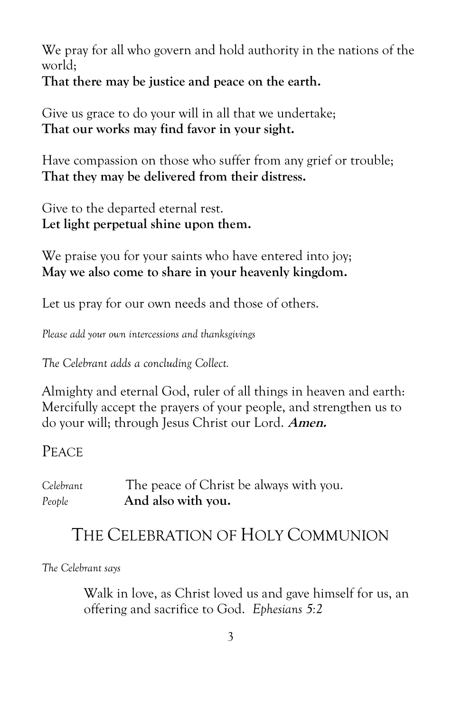We pray for all who govern and hold authority in the nations of the world;

**That there may be justice and peace on the earth.**

Give us grace to do your will in all that we undertake; **That our works may find favor in your sight.**

Have compassion on those who suffer from any grief or trouble; **That they may be delivered from their distress.**

Give to the departed eternal rest. **Let light perpetual shine upon them.**

We praise you for your saints who have entered into joy; **May we also come to share in your heavenly kingdom.**

Let us pray for our own needs and those of others.

*Please add your own intercessions and thanksgivings*

*The Celebrant adds a concluding Collect.*

Almighty and eternal God, ruler of all things in heaven and earth: Mercifully accept the prayers of your people, and strengthen us to do your will; through Jesus Christ our Lord. **Amen.**

PEACE

| Celebrant | The peace of Christ be always with you. |
|-----------|-----------------------------------------|
| People    | And also with you.                      |

# THE CELEBRATION OF HOLY COMMUNION

*The Celebrant says*

Walk in love, as Christ loved us and gave himself for us, an offering and sacrifice to God. *Ephesians 5:2*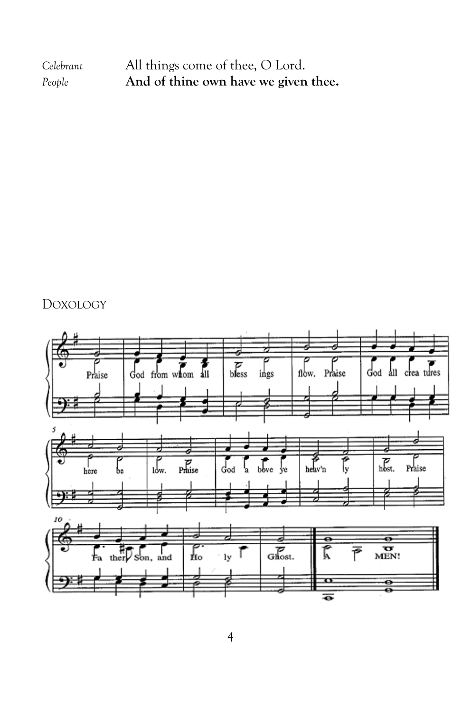| Celebrant | All things come of thee, O Lord.     |
|-----------|--------------------------------------|
| People    | And of thine own have we given thee. |

### DOXOLOGY

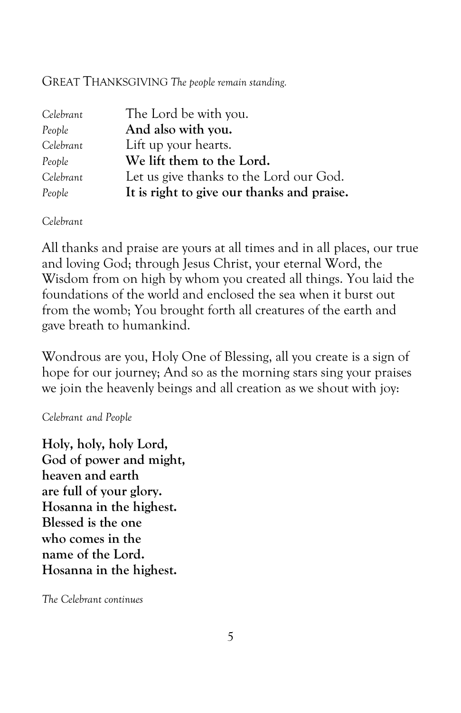#### GREAT THANKSGIVING *The people remain standing.*

| Celebrant | The Lord be with you.                      |
|-----------|--------------------------------------------|
| People    | And also with you.                         |
| Celebrant | Lift up your hearts.                       |
| People    | We lift them to the Lord.                  |
| Celebrant | Let us give thanks to the Lord our God.    |
| People    | It is right to give our thanks and praise. |

*Celebrant*

All thanks and praise are yours at all times and in all places, our true and loving God; through Jesus Christ, your eternal Word, the Wisdom from on high by whom you created all things. You laid the foundations of the world and enclosed the sea when it burst out from the womb; You brought forth all creatures of the earth and gave breath to humankind.

Wondrous are you, Holy One of Blessing, all you create is a sign of hope for our journey; And so as the morning stars sing your praises we join the heavenly beings and all creation as we shout with joy:

#### *Celebrant and People*

**Holy, holy, holy Lord, God of power and might, heaven and earth are full of your glory. Hosanna in the highest. Blessed is the one who comes in the name of the Lord. Hosanna in the highest.**

*The Celebrant continues*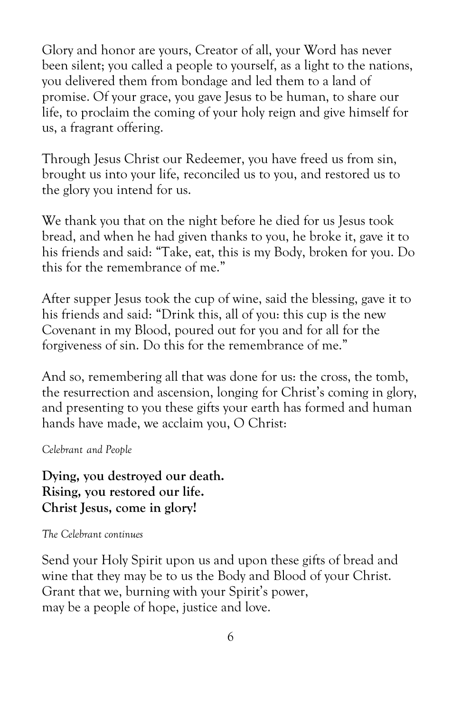Glory and honor are yours, Creator of all, your Word has never been silent; you called a people to yourself, as a light to the nations, you delivered them from bondage and led them to a land of promise. Of your grace, you gave Jesus to be human, to share our life, to proclaim the coming of your holy reign and give himself for us, a fragrant offering.

Through Jesus Christ our Redeemer, you have freed us from sin, brought us into your life, reconciled us to you, and restored us to the glory you intend for us.

We thank you that on the night before he died for us Jesus took bread, and when he had given thanks to you, he broke it, gave it to his friends and said: "Take, eat, this is my Body, broken for you. Do this for the remembrance of me."

After supper Jesus took the cup of wine, said the blessing, gave it to his friends and said: "Drink this, all of you: this cup is the new Covenant in my Blood, poured out for you and for all for the forgiveness of sin. Do this for the remembrance of me."

And so, remembering all that was done for us: the cross, the tomb, the resurrection and ascension, longing for Christ's coming in glory, and presenting to you these gifts your earth has formed and human hands have made, we acclaim you, O Christ:

*Celebrant and People*

**Dying, you destroyed our death. Rising, you restored our life. Christ Jesus, come in glory!**

#### *The Celebrant continues*

Send your Holy Spirit upon us and upon these gifts of bread and wine that they may be to us the Body and Blood of your Christ. Grant that we, burning with your Spirit's power, may be a people of hope, justice and love.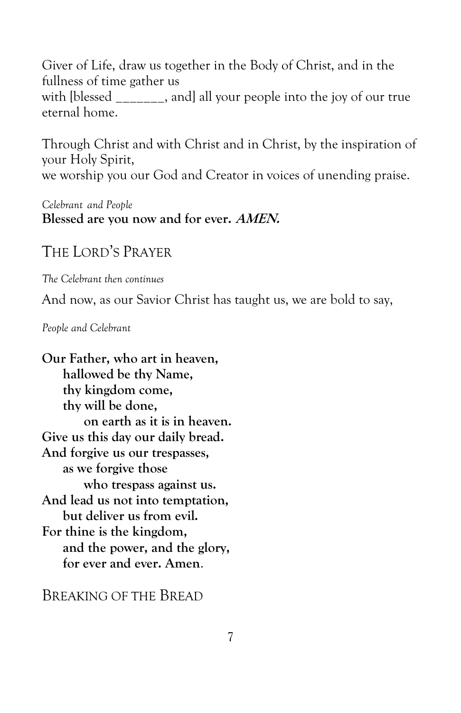Giver of Life, draw us together in the Body of Christ, and in the fullness of time gather us with [blessed and] all your people into the joy of our true eternal home.

Through Christ and with Christ and in Christ, by the inspiration of your Holy Spirit, we worship you our God and Creator in voices of unending praise.

*Celebrant and People* **Blessed are you now and for ever. AMEN.**

#### THE LORD'S PRAYER

*The Celebrant then continues*

And now, as our Savior Christ has taught us, we are bold to say,

*People and Celebrant* 

**Our Father, who art in heaven, hallowed be thy Name, thy kingdom come, thy will be done, on earth as it is in heaven. Give us this day our daily bread. And forgive us our trespasses, as we forgive those who trespass against us. And lead us not into temptation, but deliver us from evil. For thine is the kingdom, and the power, and the glory, for ever and ever. Amen**.

BREAKING OF THE BREAD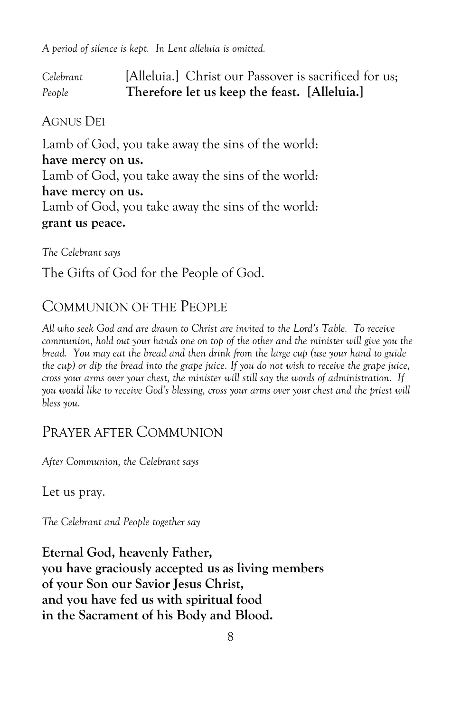*A period of silence is kept. In Lent alleluia is omitted.*

*Celebrant* [Alleluia.] Christ our Passover is sacrificed for us; *People* **Therefore let us keep the feast. [Alleluia.]**

#### AGNUS DEI

Lamb of God, you take away the sins of the world: **have mercy on us.** Lamb of God, you take away the sins of the world: **have mercy on us.** Lamb of God, you take away the sins of the world: **grant us peace.**

*The Celebrant says*

The Gifts of God for the People of God.

#### COMMUNION OF THE PEOPLE

*All who seek God and are drawn to Christ are invited to the Lord's Table. To receive communion, hold out your hands one on top of the other and the minister will give you the bread. You may eat the bread and then drink from the large cup (use your hand to guide the cup) or dip the bread into the grape juice. If you do not wish to receive the grape juice, cross your arms over your chest, the minister will still say the words of administration. If you would like to receive God's blessing, cross your arms over your chest and the priest will bless you.* 

#### PRAYER AFTER COMMUNION

*After Communion, the Celebrant says*

Let us pray.

*The Celebrant and People together say*

**Eternal God, heavenly Father, you have graciously accepted us as living members of your Son our Savior Jesus Christ, and you have fed us with spiritual food in the Sacrament of his Body and Blood.**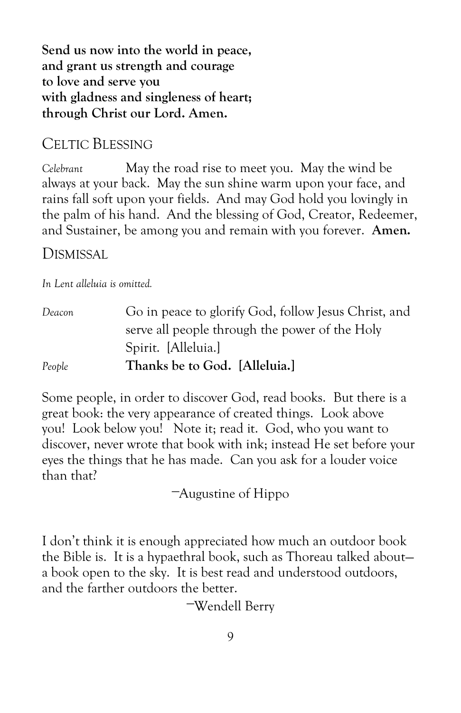**Send us now into the world in peace, and grant us strength and courage to love and serve you with gladness and singleness of heart; through Christ our Lord. Amen.**

#### CELTIC BLESSING

*Celebrant* May the road rise to meet you. May the wind be always at your back. May the sun shine warm upon your face, and rains fall soft upon your fields. And may God hold you lovingly in the palm of his hand. And the blessing of God, Creator, Redeemer, and Sustainer, be among you and remain with you forever. **Amen.**

#### DISMISSAL

*In Lent alleluia is omitted.*

*Deacon* Go in peace to glorify God, follow Jesus Christ, and serve all people through the power of the Holy Spirit. [Alleluia.] *People* **Thanks be to God. [Alleluia.]**

Some people, in order to discover God, read books. But there is a great book: the very appearance of created things. Look above you! Look below you! Note it; read it. God, who you want to discover, never wrote that book with ink; instead He set before your eyes the things that he has made. Can you ask for a louder voice than that?

—Augustine of Hippo

I don't think it is enough appreciated how much an outdoor book the Bible is. It is a hypaethral book, such as Thoreau talked about a book open to the sky. It is best read and understood outdoors, and the farther outdoors the better.

—Wendell Berry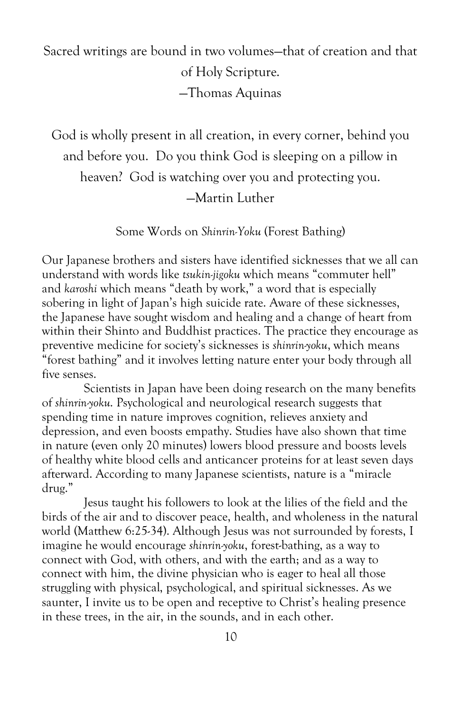Sacred writings are bound in two volumes—that of creation and that of Holy Scripture. —Thomas Aquinas

God is wholly present in all creation, in every corner, behind you and before you. Do you think God is sleeping on a pillow in heaven? God is watching over you and protecting you. —Martin Luther

Some Words on *Shinrin-Yoku* (Forest Bathing)

Our Japanese brothers and sisters have identified sicknesses that we all can understand with words like *tsukin-jigoku* which means "commuter hell" and *karoshi* which means "death by work," a word that is especially sobering in light of Japan's high suicide rate. Aware of these sicknesses, the Japanese have sought wisdom and healing and a change of heart from within their Shinto and Buddhist practices. The practice they encourage as preventive medicine for society's sicknesses is *shinrin-yoku*, which means "forest bathing" and it involves letting nature enter your body through all five senses.

Scientists in Japan have been doing research on the many benefits of *shinrin-yoku*. Psychological and neurological research suggests that spending time in nature improves cognition, relieves anxiety and depression, and even boosts empathy. Studies have also shown that time in nature (even only 20 minutes) lowers blood pressure and boosts levels of healthy white blood cells and anticancer proteins for at least seven days afterward. According to many Japanese scientists, nature is a "miracle drug."

Jesus taught his followers to look at the lilies of the field and the birds of the air and to discover peace, health, and wholeness in the natural world (Matthew 6:25-34). Although Jesus was not surrounded by forests, I imagine he would encourage *shinrin-yoku*, forest-bathing, as a way to connect with God, with others, and with the earth; and as a way to connect with him, the divine physician who is eager to heal all those struggling with physical, psychological, and spiritual sicknesses. As we saunter, I invite us to be open and receptive to Christ's healing presence in these trees, in the air, in the sounds, and in each other.